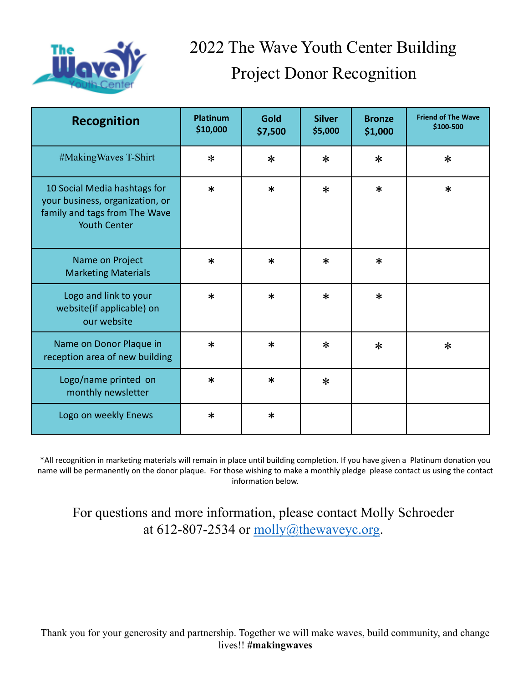

## 2022 The Wave Youth Center Building Project Donor Recognition

| <b>Recognition</b>                                                                                                      | <b>Platinum</b><br>\$10,000 | Gold<br>\$7,500 | <b>Silver</b><br>\$5,000 | <b>Bronze</b><br>\$1,000 | <b>Friend of The Wave</b><br>\$100-500 |
|-------------------------------------------------------------------------------------------------------------------------|-----------------------------|-----------------|--------------------------|--------------------------|----------------------------------------|
| #MakingWaves T-Shirt                                                                                                    | $\ast$                      | $\ast$          | $\ast$                   | $\ast$                   | $\ast$                                 |
| 10 Social Media hashtags for<br>your business, organization, or<br>family and tags from The Wave<br><b>Youth Center</b> | $\ast$                      | $\ast$          | $\ast$                   | $\ast$                   | $\ast$                                 |
| Name on Project<br><b>Marketing Materials</b>                                                                           | $\ast$                      | $\ast$          | $\ast$                   | $\ast$                   |                                        |
| Logo and link to your<br>website(if applicable) on<br>our website                                                       | $\ast$                      | $\ast$          | $\ast$                   | $\ast$                   |                                        |
| Name on Donor Plaque in<br>reception area of new building                                                               | $\ast$                      | $\ast$          | $\ast$                   | $\ast$                   | $\ast$                                 |
| Logo/name printed on<br>monthly newsletter                                                                              | $\ast$                      | $\ast$          | $\ast$                   |                          |                                        |
| Logo on weekly Enews                                                                                                    | $\ast$                      | $\ast$          |                          |                          |                                        |

\*All recognition in marketing materials will remain in place until building completion. If you have given a Platinum donation you name will be permanently on the donor plaque. For those wishing to make a monthly pledge please contact us using the contact information below.

For questions and more information, please contact Molly Schroeder at 612-807-2534 or  $molly@thewaveyc.org$ .

Thank you for your generosity and partnership. Together we will make waves, build community, and change lives!! **#makingwaves**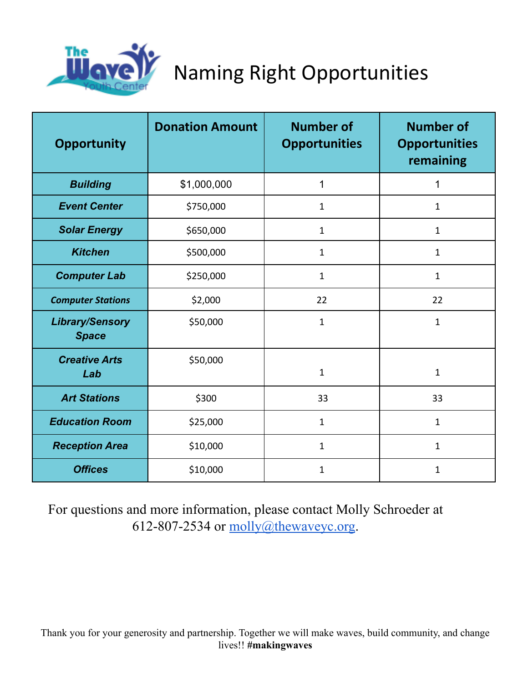

Naming Right Opportunities

| <b>Opportunity</b>                     | <b>Donation Amount</b> | <b>Number of</b><br><b>Opportunities</b> | <b>Number of</b><br><b>Opportunities</b><br>remaining |
|----------------------------------------|------------------------|------------------------------------------|-------------------------------------------------------|
| <b>Building</b>                        | \$1,000,000            | 1                                        | 1                                                     |
| <b>Event Center</b>                    | \$750,000              | $\mathbf{1}$                             | $\mathbf{1}$                                          |
| <b>Solar Energy</b>                    | \$650,000              | 1                                        | $\mathbf{1}$                                          |
| <b>Kitchen</b>                         | \$500,000              | 1                                        | $\mathbf{1}$                                          |
| <b>Computer Lab</b>                    | \$250,000              | 1                                        | $\mathbf{1}$                                          |
| <b>Computer Stations</b>               | \$2,000                | 22                                       | 22                                                    |
| <b>Library/Sensory</b><br><b>Space</b> | \$50,000               | $\mathbf 1$                              | $\mathbf{1}$                                          |
| <b>Creative Arts</b><br>Lab            | \$50,000               | $\mathbf{1}$                             | $\mathbf{1}$                                          |
| <b>Art Stations</b>                    | \$300                  | 33                                       | 33                                                    |
| <b>Education Room</b>                  | \$25,000               | $\mathbf{1}$                             | $\mathbf{1}$                                          |
| <b>Reception Area</b>                  | \$10,000               | $\mathbf 1$                              | $\mathbf{1}$                                          |
| <b>Offices</b>                         | \$10,000               | $\mathbf{1}$                             | $\mathbf{1}$                                          |

For questions and more information, please contact Molly Schroeder at 612-807-2534 or  $molly@thewaveyc.org.$  $molly@thewaveyc.org.$ 

Thank you for your generosity and partnership. Together we will make waves, build community, and change lives!! **#makingwaves**